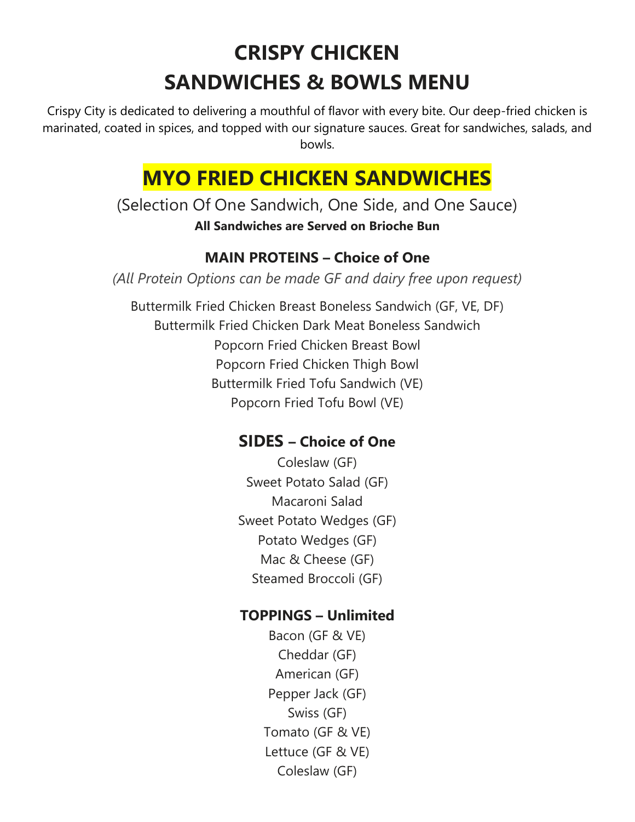# **CRISPY CHICKEN SANDWICHES & BOWLS MENU**

Crispy City is dedicated to delivering a mouthful of flavor with every bite. Our deep-fried chicken is marinated, coated in spices, and topped with our signature sauces. Great for sandwiches, salads, and bowls.

## **MYO FRIED CHICKEN SANDWICHES**

(Selection Of One Sandwich, One Side, and One Sauce) **All Sandwiches are Served on Brioche Bun**

#### **MAIN PROTEINS – Choice of One**

*(All Protein Options can be made GF and dairy free upon request)*

Buttermilk Fried Chicken Breast Boneless Sandwich (GF, VE, DF) Buttermilk Fried Chicken Dark Meat Boneless Sandwich Popcorn Fried Chicken Breast Bowl Popcorn Fried Chicken Thigh Bowl Buttermilk Fried Tofu Sandwich (VE) Popcorn Fried Tofu Bowl (VE)

## **SIDES – Choice of One**

Coleslaw (GF) Sweet Potato Salad (GF) Macaroni Salad Sweet Potato Wedges (GF) Potato Wedges (GF) Mac & Cheese (GF) Steamed Broccoli (GF)

### **TOPPINGS – Unlimited**

Bacon (GF & VE) Cheddar (GF) American (GF) Pepper Jack (GF) Swiss (GF) Tomato (GF & VE) Lettuce (GF & VE) Coleslaw (GF)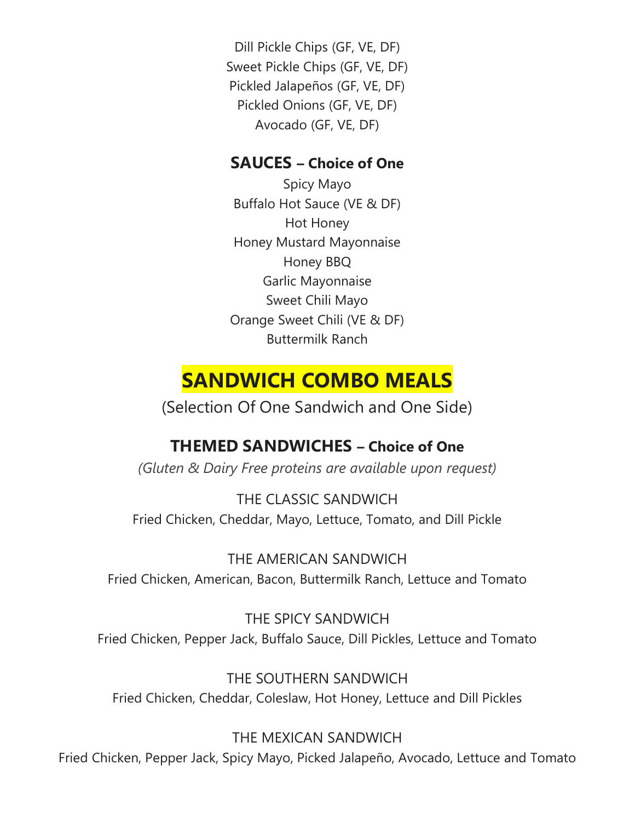Dill Pickle Chips (GF, VE, DF) Sweet Pickle Chips (GF, VE, DF) Pickled Jalapeños (GF, VE, DF) Pickled Onions (GF, VE, DF) Avocado (GF, VE, DF)

### **SAUCES – Choice of One**

Spicy Mayo Buffalo Hot Sauce (VE & DF) Hot Honey Honey Mustard Mayonnaise Honey BBQ Garlic Mayonnaise Sweet Chili Mayo Orange Sweet Chili (VE & DF) Buttermilk Ranch

## **SANDWICH COMBO MEALS**

(Selection Of One Sandwich and One Side)

## **THEMED SANDWICHES – Choice of One**

*(Gluten & Dairy Free proteins are available upon request)*

THE CLASSIC SANDWICH Fried Chicken, Cheddar, Mayo, Lettuce, Tomato, and Dill Pickle

THE AMERICAN SANDWICH Fried Chicken, American, Bacon, Buttermilk Ranch, Lettuce and Tomato

THE SPICY SANDWICH Fried Chicken, Pepper Jack, Buffalo Sauce, Dill Pickles, Lettuce and Tomato

THE SOUTHERN SANDWICH Fried Chicken, Cheddar, Coleslaw, Hot Honey, Lettuce and Dill Pickles

THE MEXICAN SANDWICH Fried Chicken, Pepper Jack, Spicy Mayo, Picked Jalapeño, Avocado, Lettuce and Tomato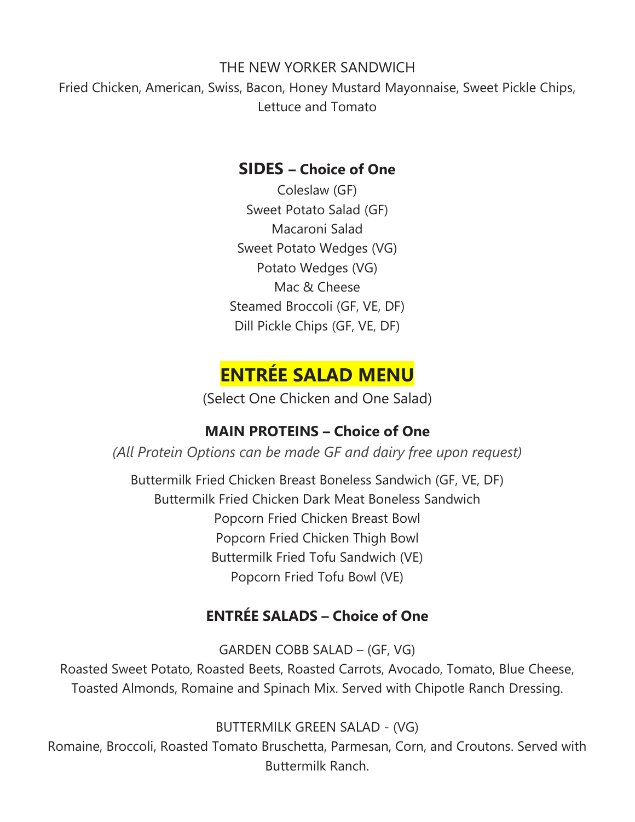#### THE NEW YORKER SANDWICH

Fried Chicken, American, Swiss, Bacon, Honey Mustard Mayonnaise, Sweet Pickle Chips, Lettuce and Tomato

#### **SIDES – Choice of One**

Coleslaw (GF) Sweet Potato Salad (GF) Macaroni Salad Sweet Potato Wedges (VG) Potato Wedges (VG) Mac & Cheese Steamed Broccoli (GF, VE, DF) Dill Pickle Chips (GF, VE, DF)

## **ENTRÉE SALAD MENU**

(Select One Chicken and One Salad)

#### **MAIN PROTEINS – Choice of One**

*(All Protein Options can be made GF and dairy free upon request)*

Buttermilk Fried Chicken Breast Boneless Sandwich (GF, VE, DF) Buttermilk Fried Chicken Dark Meat Boneless Sandwich Popcorn Fried Chicken Breast Bowl Popcorn Fried Chicken Thigh Bowl Buttermilk Fried Tofu Sandwich (VE) Popcorn Fried Tofu Bowl (VE)

### **ENTRÉE SALADS – Choice of One**

GARDEN COBB SALAD – (GF, VG)

Roasted Sweet Potato, Roasted Beets, Roasted Carrots, Avocado, Tomato, Blue Cheese, Toasted Almonds, Romaine and Spinach Mix. Served with Chipotle Ranch Dressing.

BUTTERMILK GREEN SALAD - (VG)

Romaine, Broccoli, Roasted Tomato Bruschetta, Parmesan, Corn, and Croutons. Served with Buttermilk Ranch.